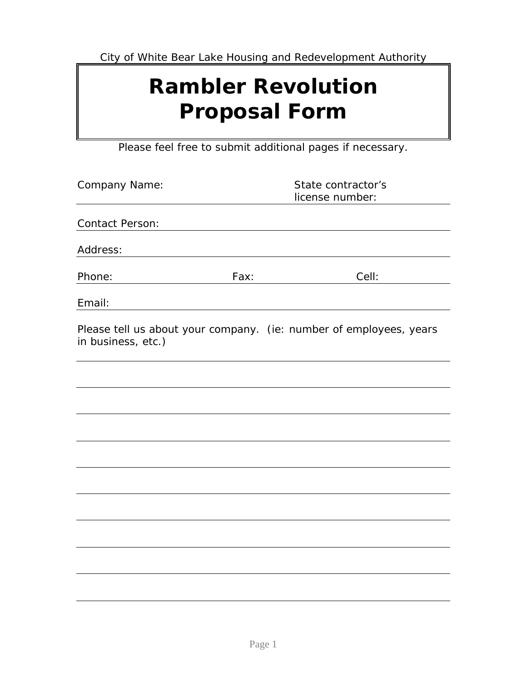City of White Bear Lake Housing and Redevelopment Authority

## **Rambler Revolution Proposal Form**

Please feel free to submit additional pages if necessary.

| Company Name:          | State contractor's<br>license number: |                                                                    |
|------------------------|---------------------------------------|--------------------------------------------------------------------|
| <b>Contact Person:</b> |                                       |                                                                    |
| Address:               |                                       |                                                                    |
| Phone:                 | Fax:                                  | Cell:                                                              |
| Email:                 |                                       |                                                                    |
| in business, etc.)     |                                       | Please tell us about your company. (ie: number of employees, years |
|                        |                                       |                                                                    |
|                        |                                       |                                                                    |
|                        |                                       |                                                                    |
|                        |                                       |                                                                    |
|                        |                                       |                                                                    |
|                        |                                       |                                                                    |
|                        |                                       |                                                                    |
|                        |                                       |                                                                    |
|                        |                                       |                                                                    |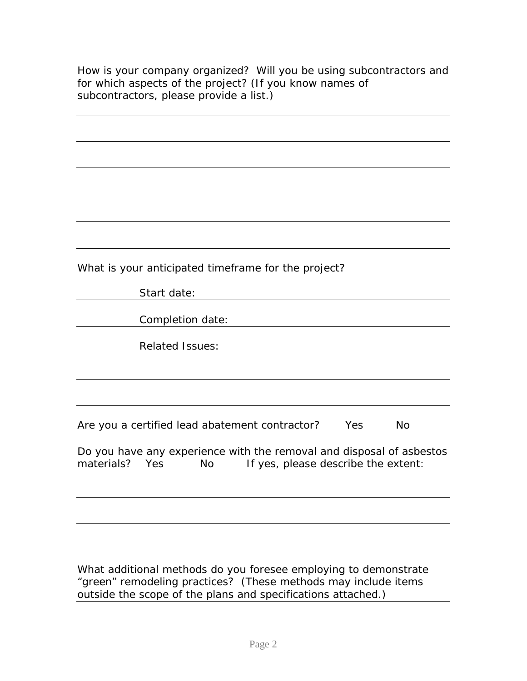How is your company organized? Will you be using subcontractors and for which aspects of the project? (If you know names of subcontractors, please provide a list.)

| What is your anticipated timeframe for the project?                  |
|----------------------------------------------------------------------|
| Start date:                                                          |
|                                                                      |
| Completion date:                                                     |
|                                                                      |
| <b>Related Issues:</b>                                               |
|                                                                      |
|                                                                      |
|                                                                      |
|                                                                      |
| Are you a certified lead abatement contractor?<br>Yes<br><b>No</b>   |
|                                                                      |
| Do you have any experience with the removal and disposal of asbestos |
| materials?<br>If yes, please describe the extent:<br>Yes<br>No.      |
|                                                                      |
|                                                                      |
|                                                                      |
|                                                                      |
|                                                                      |
|                                                                      |
| What additional methods do you foresee employing to demonstrate      |
| "green" remodeling practices? (These methods may include items       |

outside the scope of the plans and specifications attached.)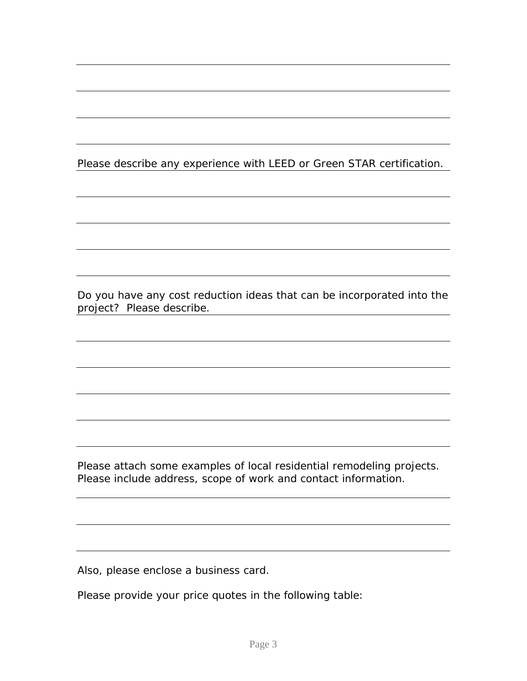## Please describe any experience with LEED or Green STAR certification.

Do you have any cost reduction ideas that can be incorporated into the project? Please describe.

Please attach some examples of local residential remodeling projects. Please include address, scope of work and contact information.

Also, please enclose a business card.

Please provide your price quotes in the following table: